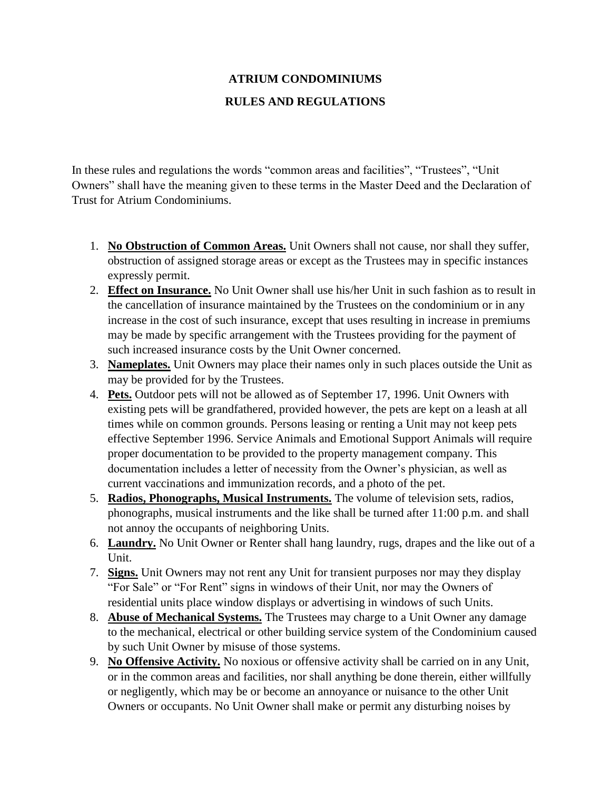## **ATRIUM CONDOMINIUMS RULES AND REGULATIONS**

In these rules and regulations the words "common areas and facilities", "Trustees", "Unit Owners" shall have the meaning given to these terms in the Master Deed and the Declaration of Trust for Atrium Condominiums.

- 1. **No Obstruction of Common Areas.** Unit Owners shall not cause, nor shall they suffer, obstruction of assigned storage areas or except as the Trustees may in specific instances expressly permit.
- 2. **Effect on Insurance.** No Unit Owner shall use his/her Unit in such fashion as to result in the cancellation of insurance maintained by the Trustees on the condominium or in any increase in the cost of such insurance, except that uses resulting in increase in premiums may be made by specific arrangement with the Trustees providing for the payment of such increased insurance costs by the Unit Owner concerned.
- 3. **Nameplates.** Unit Owners may place their names only in such places outside the Unit as may be provided for by the Trustees.
- 4. **Pets.** Outdoor pets will not be allowed as of September 17, 1996. Unit Owners with existing pets will be grandfathered, provided however, the pets are kept on a leash at all times while on common grounds. Persons leasing or renting a Unit may not keep pets effective September 1996. Service Animals and Emotional Support Animals will require proper documentation to be provided to the property management company. This documentation includes a letter of necessity from the Owner's physician, as well as current vaccinations and immunization records, and a photo of the pet.
- 5. **Radios, Phonographs, Musical Instruments.** The volume of television sets, radios, phonographs, musical instruments and the like shall be turned after 11:00 p.m. and shall not annoy the occupants of neighboring Units.
- 6. **Laundry.** No Unit Owner or Renter shall hang laundry, rugs, drapes and the like out of a Unit.
- 7. **Signs.** Unit Owners may not rent any Unit for transient purposes nor may they display "For Sale" or "For Rent" signs in windows of their Unit, nor may the Owners of residential units place window displays or advertising in windows of such Units.
- 8. **Abuse of Mechanical Systems.** The Trustees may charge to a Unit Owner any damage to the mechanical, electrical or other building service system of the Condominium caused by such Unit Owner by misuse of those systems.
- 9. **No Offensive Activity.** No noxious or offensive activity shall be carried on in any Unit, or in the common areas and facilities, nor shall anything be done therein, either willfully or negligently, which may be or become an annoyance or nuisance to the other Unit Owners or occupants. No Unit Owner shall make or permit any disturbing noises by